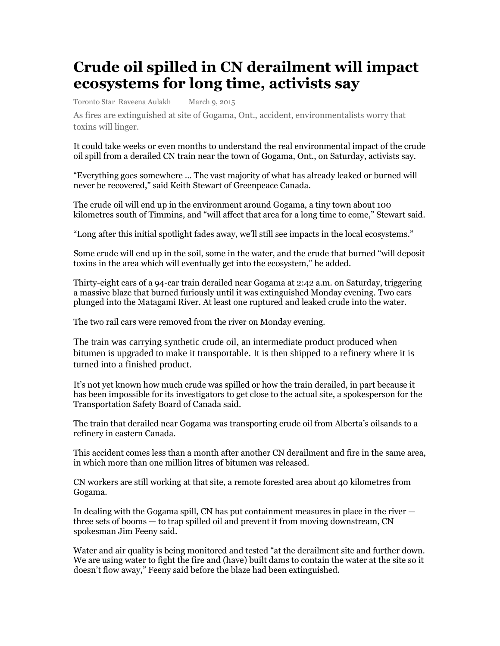## **Crude oil spilled in CN derailment will impact ecosystems for long time, activists say**

Toronto Star Raveena Aulakh March 9, 2015

As fires are extinguished at site of Gogama, Ont., accident, environmentalists worry that toxins will linger.

It could take weeks or even months to understand the real environmental impact of the crude oil spill from a derailed CN train near the town of Gogama, Ont., on Saturday, activists say.

"Everything goes somewhere ... The vast majority of what has already leaked or burned will never be recovered," said Keith Stewart of Greenpeace Canada.

The crude oil will end up in the environment around Gogama, a tiny town about 100 kilometres south of Timmins, and "will affect that area for a long time to come," Stewart said.

"Long after this initial spotlight fades away, we'll still see impacts in the local ecosystems."

Some crude will end up in the soil, some in the water, and the crude that burned "will deposit toxins in the area which will eventually get into the ecosystem," he added.

Thirty-eight cars of a 94-car train derailed near Gogama at 2:42 a.m. on Saturday, triggering a massive blaze that burned furiously until it was extinguished Monday evening. Two cars plunged into the Matagami River. At least one ruptured and leaked crude into the water.

The two rail cars were removed from the river on Monday evening.

The train was carrying synthetic crude oil, an intermediate product produced when bitumen is upgraded to make it transportable. It is then shipped to a refinery where it is turned into a finished product.

It's not yet known how much crude was spilled or how the train derailed, in part because it has been impossible for its investigators to get close to the actual site, a spokesperson for the Transportation Safety Board of Canada said.

The train that derailed near Gogama was transporting crude oil from Alberta's oilsands to a refinery in eastern Canada.

This accident comes less than a month after another CN derailment and fire in the same area, in which more than one million litres of bitumen was released.

CN workers are still working at that site, a remote forested area about 40 kilometres from Gogama.

In dealing with the Gogama spill, CN has put containment measures in place in the river three sets of booms — to trap spilled oil and prevent it from moving downstream, CN spokesman Jim Feeny said.

Water and air quality is being monitored and tested "at the derailment site and further down. We are using water to fight the fire and (have) built dams to contain the water at the site so it doesn't flow away," Feeny said before the blaze had been extinguished.